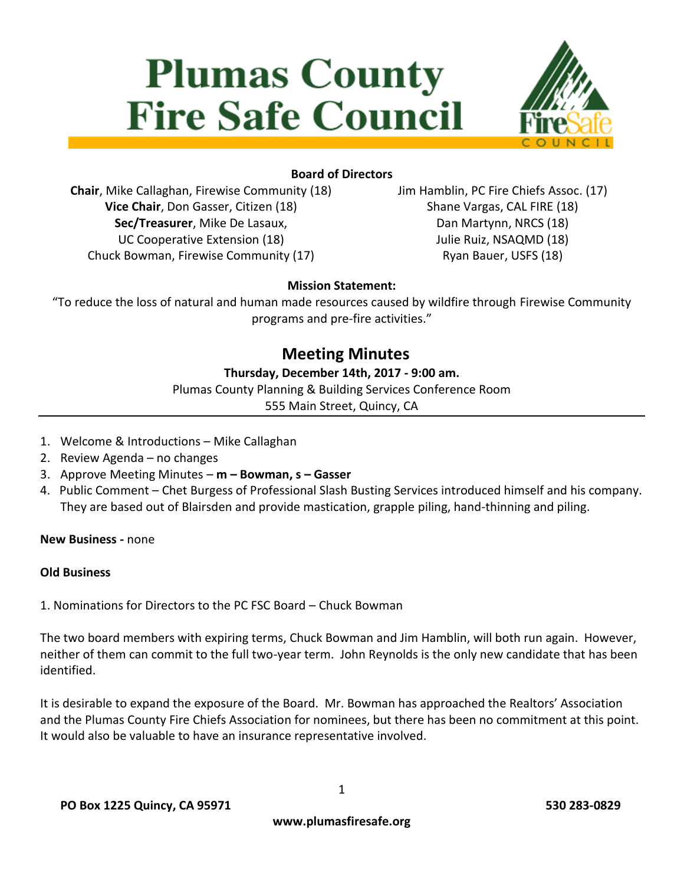# **Plumas County Fire Safe Council**



# **Board of Directors**

**Chair**, Mike Callaghan, Firewise Community (18) **Vice Chair**, Don Gasser, Citizen (18) **Sec/Treasurer**, Mike De Lasaux, UC Cooperative Extension (18) Chuck Bowman, Firewise Community (17)

Jim Hamblin, PC Fire Chiefs Assoc. (17) Shane Vargas, CAL FIRE (18) Dan Martynn, NRCS (18) Julie Ruiz, NSAQMD (18) Ryan Bauer, USFS (18)

# **Mission Statement:**

"To reduce the loss of natural and human made resources caused by wildfire through Firewise Community programs and pre-fire activities."

# **Meeting Minutes**

#### **Thursday, December 14th, 2017 - 9:00 am.**

Plumas County Planning & Building Services Conference Room

555 Main Street, Quincy, CA

- 1. Welcome & Introductions Mike Callaghan
- 2. Review Agenda no changes
- 3. Approve Meeting Minutes **m – Bowman, s – Gasser**
- 4. Public Comment Chet Burgess of Professional Slash Busting Services introduced himself and his company. They are based out of Blairsden and provide mastication, grapple piling, hand-thinning and piling.

**New Business -** none

#### **Old Business**

1. Nominations for Directors to the PC FSC Board – Chuck Bowman

The two board members with expiring terms, Chuck Bowman and Jim Hamblin, will both run again. However, neither of them can commit to the full two-year term. John Reynolds is the only new candidate that has been identified.

It is desirable to expand the exposure of the Board. Mr. Bowman has approached the Realtors' Association and the Plumas County Fire Chiefs Association for nominees, but there has been no commitment at this point. It would also be valuable to have an insurance representative involved.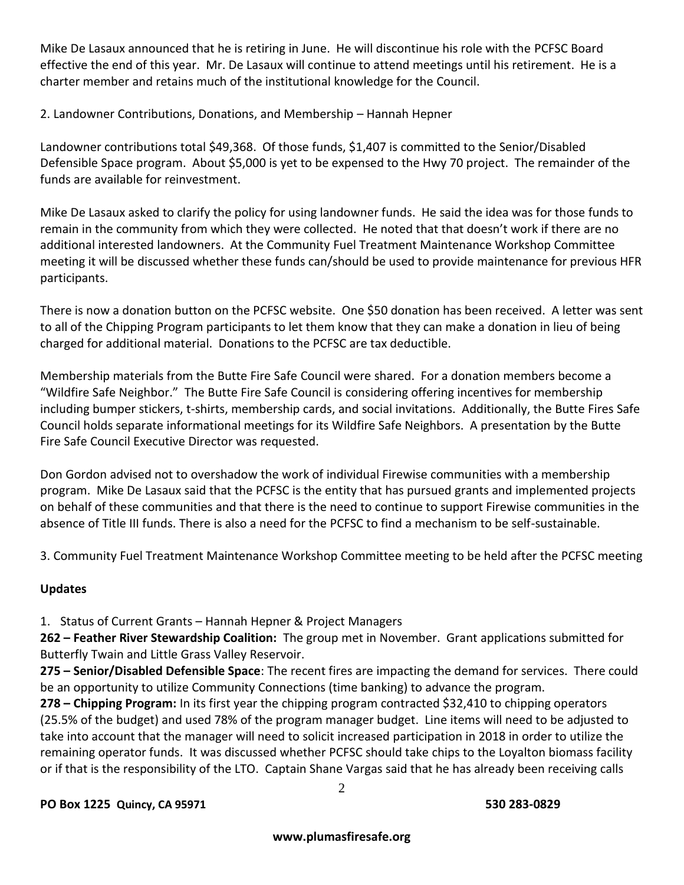Mike De Lasaux announced that he is retiring in June. He will discontinue his role with the PCFSC Board effective the end of this year. Mr. De Lasaux will continue to attend meetings until his retirement. He is a charter member and retains much of the institutional knowledge for the Council.

## 2. Landowner Contributions, Donations, and Membership – Hannah Hepner

Landowner contributions total \$49,368. Of those funds, \$1,407 is committed to the Senior/Disabled Defensible Space program. About \$5,000 is yet to be expensed to the Hwy 70 project. The remainder of the funds are available for reinvestment.

Mike De Lasaux asked to clarify the policy for using landowner funds. He said the idea was for those funds to remain in the community from which they were collected. He noted that that doesn't work if there are no additional interested landowners. At the Community Fuel Treatment Maintenance Workshop Committee meeting it will be discussed whether these funds can/should be used to provide maintenance for previous HFR participants.

There is now a donation button on the PCFSC website. One \$50 donation has been received. A letter was sent to all of the Chipping Program participants to let them know that they can make a donation in lieu of being charged for additional material. Donations to the PCFSC are tax deductible.

Membership materials from the Butte Fire Safe Council were shared. For a donation members become a "Wildfire Safe Neighbor." The Butte Fire Safe Council is considering offering incentives for membership including bumper stickers, t-shirts, membership cards, and social invitations. Additionally, the Butte Fires Safe Council holds separate informational meetings for its Wildfire Safe Neighbors. A presentation by the Butte Fire Safe Council Executive Director was requested.

Don Gordon advised not to overshadow the work of individual Firewise communities with a membership program. Mike De Lasaux said that the PCFSC is the entity that has pursued grants and implemented projects on behalf of these communities and that there is the need to continue to support Firewise communities in the absence of Title III funds. There is also a need for the PCFSC to find a mechanism to be self-sustainable.

3. Community Fuel Treatment Maintenance Workshop Committee meeting to be held after the PCFSC meeting

#### **Updates**

1. Status of Current Grants – Hannah Hepner & Project Managers

**262 – Feather River Stewardship Coalition:** The group met in November. Grant applications submitted for Butterfly Twain and Little Grass Valley Reservoir.

**275 – Senior/Disabled Defensible Space**: The recent fires are impacting the demand for services. There could be an opportunity to utilize Community Connections (time banking) to advance the program.

**278 – Chipping Program:** In its first year the chipping program contracted \$32,410 to chipping operators (25.5% of the budget) and used 78% of the program manager budget. Line items will need to be adjusted to take into account that the manager will need to solicit increased participation in 2018 in order to utilize the remaining operator funds. It was discussed whether PCFSC should take chips to the Loyalton biomass facility or if that is the responsibility of the LTO. Captain Shane Vargas said that he has already been receiving calls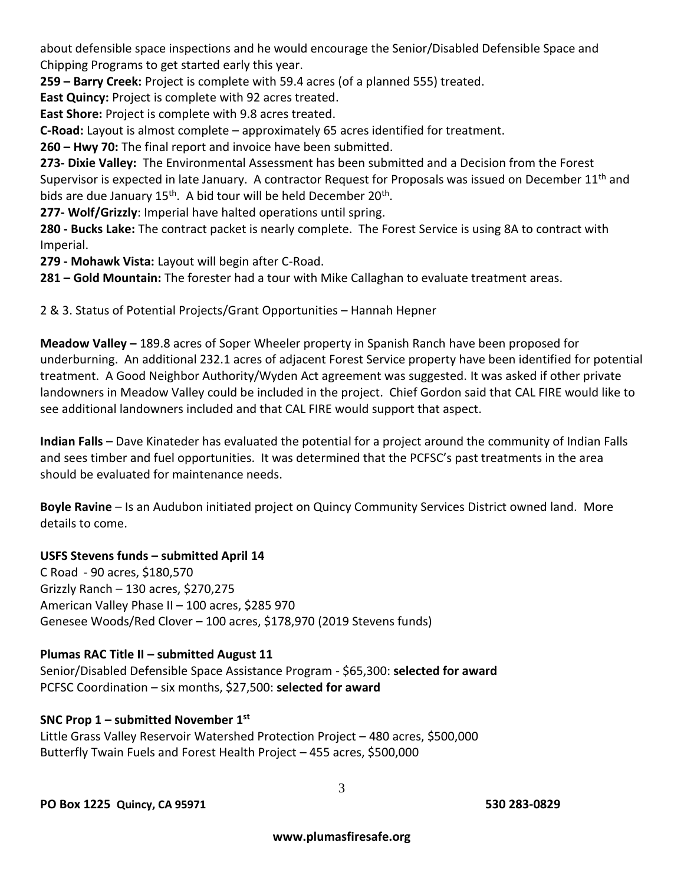about defensible space inspections and he would encourage the Senior/Disabled Defensible Space and Chipping Programs to get started early this year.

**259 – Barry Creek:** Project is complete with 59.4 acres (of a planned 555) treated.

**East Quincy:** Project is complete with 92 acres treated.

**East Shore:** Project is complete with 9.8 acres treated.

**C-Road:** Layout is almost complete – approximately 65 acres identified for treatment.

**260 – Hwy 70:** The final report and invoice have been submitted.

**273- Dixie Valley:** The Environmental Assessment has been submitted and a Decision from the Forest Supervisor is expected in late January. A contractor Request for Proposals was issued on December 11<sup>th</sup> and bids are due January 15<sup>th</sup>. A bid tour will be held December 20<sup>th</sup>.

**277- Wolf/Grizzly**: Imperial have halted operations until spring.

**280 - Bucks Lake:** The contract packet is nearly complete. The Forest Service is using 8A to contract with Imperial.

**279 - Mohawk Vista:** Layout will begin after C-Road.

**281 – Gold Mountain:** The forester had a tour with Mike Callaghan to evaluate treatment areas.

2 & 3. Status of Potential Projects/Grant Opportunities – Hannah Hepner

**Meadow Valley –** 189.8 acres of Soper Wheeler property in Spanish Ranch have been proposed for underburning. An additional 232.1 acres of adjacent Forest Service property have been identified for potential treatment. A Good Neighbor Authority/Wyden Act agreement was suggested. It was asked if other private landowners in Meadow Valley could be included in the project. Chief Gordon said that CAL FIRE would like to see additional landowners included and that CAL FIRE would support that aspect.

**Indian Falls** – Dave Kinateder has evaluated the potential for a project around the community of Indian Falls and sees timber and fuel opportunities. It was determined that the PCFSC's past treatments in the area should be evaluated for maintenance needs.

**Boyle Ravine** – Is an Audubon initiated project on Quincy Community Services District owned land. More details to come.

#### **USFS Stevens funds – submitted April 14**

C Road - 90 acres, \$180,570 Grizzly Ranch – 130 acres, \$270,275 American Valley Phase II – 100 acres, \$285 970 Genesee Woods/Red Clover – 100 acres, \$178,970 (2019 Stevens funds)

#### **Plumas RAC Title II – submitted August 11**

Senior/Disabled Defensible Space Assistance Program - \$65,300: **selected for award** PCFSC Coordination – six months, \$27,500: **selected for award**

# **SNC Prop 1 – submitted November 1 st**

Little Grass Valley Reservoir Watershed Protection Project – 480 acres, \$500,000 Butterfly Twain Fuels and Forest Health Project – 455 acres, \$500,000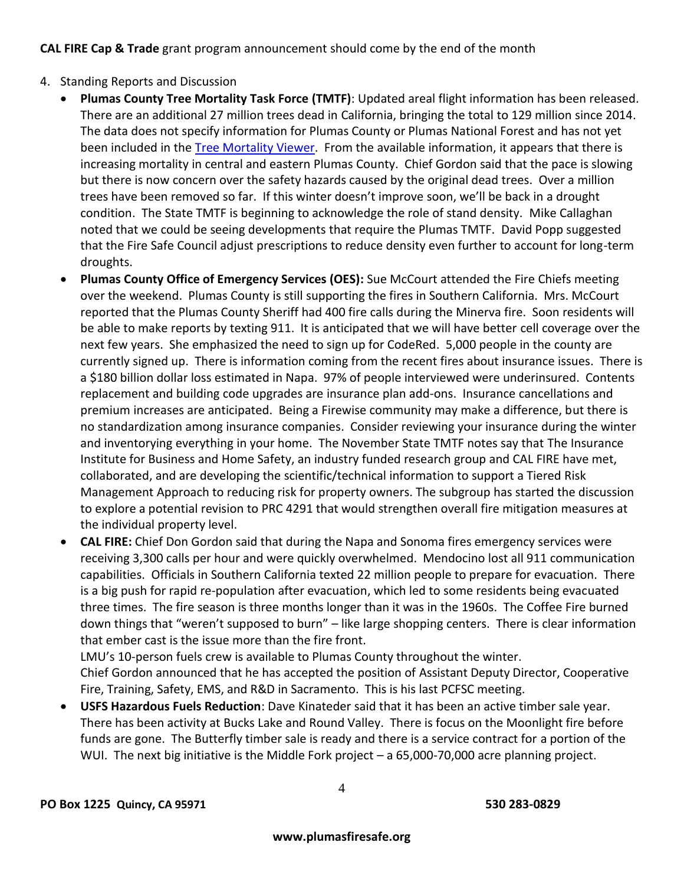**CAL FIRE Cap & Trade** grant program announcement should come by the end of the month

- 4. Standing Reports and Discussion
	- **Plumas County Tree Mortality Task Force (TMTF)**: Updated areal flight information has been released. There are an additional 27 million trees dead in California, bringing the total to 129 million since 2014. The data does not specify information for Plumas County or Plumas National Forest and has not yet been included in the [Tree Mortality Viewer.](http://egis.fire.ca.gov/TreeMortalityViewer/) From the available information, it appears that there is increasing mortality in central and eastern Plumas County. Chief Gordon said that the pace is slowing but there is now concern over the safety hazards caused by the original dead trees. Over a million trees have been removed so far. If this winter doesn't improve soon, we'll be back in a drought condition. The State TMTF is beginning to acknowledge the role of stand density. Mike Callaghan noted that we could be seeing developments that require the Plumas TMTF. David Popp suggested that the Fire Safe Council adjust prescriptions to reduce density even further to account for long-term droughts.
	- **Plumas County Office of Emergency Services (OES):** Sue McCourt attended the Fire Chiefs meeting over the weekend. Plumas County is still supporting the fires in Southern California. Mrs. McCourt reported that the Plumas County Sheriff had 400 fire calls during the Minerva fire. Soon residents will be able to make reports by texting 911. It is anticipated that we will have better cell coverage over the next few years. She emphasized the need to sign up for CodeRed. 5,000 people in the county are currently signed up. There is information coming from the recent fires about insurance issues. There is a \$180 billion dollar loss estimated in Napa. 97% of people interviewed were underinsured. Contents replacement and building code upgrades are insurance plan add-ons. Insurance cancellations and premium increases are anticipated. Being a Firewise community may make a difference, but there is no standardization among insurance companies. Consider reviewing your insurance during the winter and inventorying everything in your home. The November State TMTF notes say that The Insurance Institute for Business and Home Safety, an industry funded research group and CAL FIRE have met, collaborated, and are developing the scientific/technical information to support a Tiered Risk Management Approach to reducing risk for property owners. The subgroup has started the discussion to explore a potential revision to PRC 4291 that would strengthen overall fire mitigation measures at the individual property level.
	- **CAL FIRE:** Chief Don Gordon said that during the Napa and Sonoma fires emergency services were receiving 3,300 calls per hour and were quickly overwhelmed. Mendocino lost all 911 communication capabilities. Officials in Southern California texted 22 million people to prepare for evacuation. There is a big push for rapid re-population after evacuation, which led to some residents being evacuated three times. The fire season is three months longer than it was in the 1960s. The Coffee Fire burned down things that "weren't supposed to burn" – like large shopping centers. There is clear information that ember cast is the issue more than the fire front.

LMU's 10-person fuels crew is available to Plumas County throughout the winter. Chief Gordon announced that he has accepted the position of Assistant Deputy Director, Cooperative Fire, Training, Safety, EMS, and R&D in Sacramento. This is his last PCFSC meeting.

 **USFS Hazardous Fuels Reduction**: Dave Kinateder said that it has been an active timber sale year. There has been activity at Bucks Lake and Round Valley. There is focus on the Moonlight fire before funds are gone. The Butterfly timber sale is ready and there is a service contract for a portion of the WUI. The next big initiative is the Middle Fork project – a 65,000-70,000 acre planning project.